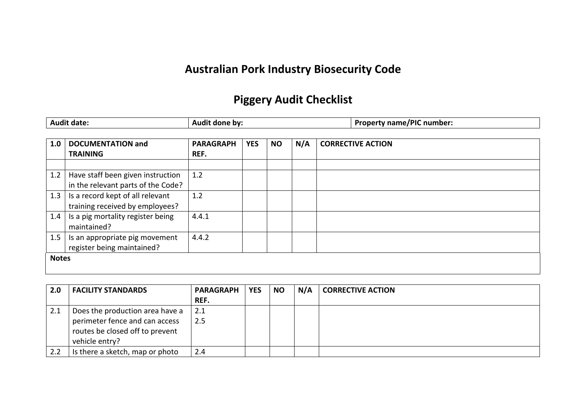## **Australian Pork Industry Biosecurity Code**

## **Piggery Audit Checklist**

|              | <b>Audit date:</b>                                                      | Audit done by:           |            |           |     |                          | <b>Property name/PIC number:</b> |
|--------------|-------------------------------------------------------------------------|--------------------------|------------|-----------|-----|--------------------------|----------------------------------|
| 1.0          | <b>DOCUMENTATION and</b><br><b>TRAINING</b>                             | <b>PARAGRAPH</b><br>REF. | <b>YES</b> | <b>NO</b> | N/A | <b>CORRECTIVE ACTION</b> |                                  |
| 1.2          | Have staff been given instruction<br>in the relevant parts of the Code? | 1.2                      |            |           |     |                          |                                  |
| 1.3          | Is a record kept of all relevant<br>training received by employees?     | 1.2                      |            |           |     |                          |                                  |
| 1.4          | Is a pig mortality register being<br>maintained?                        | 4.4.1                    |            |           |     |                          |                                  |
| 1.5          | Is an appropriate pig movement<br>register being maintained?            | 4.4.2                    |            |           |     |                          |                                  |
| <b>Notes</b> |                                                                         |                          |            |           |     |                          |                                  |

| 2.0 | <b>FACILITY STANDARDS</b>       | <b>PARAGRAPH</b> | <b>YES</b> | <b>NO</b> | N/A | <b>CORRECTIVE ACTION</b> |
|-----|---------------------------------|------------------|------------|-----------|-----|--------------------------|
|     |                                 | REF.             |            |           |     |                          |
| 2.1 | Does the production area have a | 2.1              |            |           |     |                          |
|     | perimeter fence and can access  | 2.5              |            |           |     |                          |
|     | routes be closed off to prevent |                  |            |           |     |                          |
|     | vehicle entry?                  |                  |            |           |     |                          |
| 2.2 | Is there a sketch, map or photo | 2.4              |            |           |     |                          |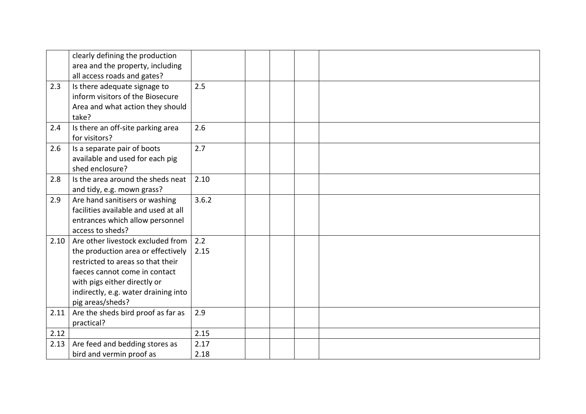|      | clearly defining the production      |       |  |  |
|------|--------------------------------------|-------|--|--|
|      | area and the property, including     |       |  |  |
|      | all access roads and gates?          |       |  |  |
| 2.3  | Is there adequate signage to         | 2.5   |  |  |
|      | inform visitors of the Biosecure     |       |  |  |
|      | Area and what action they should     |       |  |  |
|      | take?                                |       |  |  |
| 2.4  | Is there an off-site parking area    | 2.6   |  |  |
|      | for visitors?                        |       |  |  |
| 2.6  | Is a separate pair of boots          | 2.7   |  |  |
|      | available and used for each pig      |       |  |  |
|      | shed enclosure?                      |       |  |  |
| 2.8  | Is the area around the sheds neat    | 2.10  |  |  |
|      | and tidy, e.g. mown grass?           |       |  |  |
| 2.9  | Are hand sanitisers or washing       | 3.6.2 |  |  |
|      | facilities available and used at all |       |  |  |
|      | entrances which allow personnel      |       |  |  |
|      | access to sheds?                     |       |  |  |
| 2.10 | Are other livestock excluded from    | 2.2   |  |  |
|      | the production area or effectively   | 2.15  |  |  |
|      | restricted to areas so that their    |       |  |  |
|      | faeces cannot come in contact        |       |  |  |
|      | with pigs either directly or         |       |  |  |
|      | indirectly, e.g. water draining into |       |  |  |
|      | pig areas/sheds?                     |       |  |  |
| 2.11 | Are the sheds bird proof as far as   | 2.9   |  |  |
|      | practical?                           |       |  |  |
| 2.12 |                                      | 2.15  |  |  |
| 2.13 | Are feed and bedding stores as       | 2.17  |  |  |
|      | bird and vermin proof as             | 2.18  |  |  |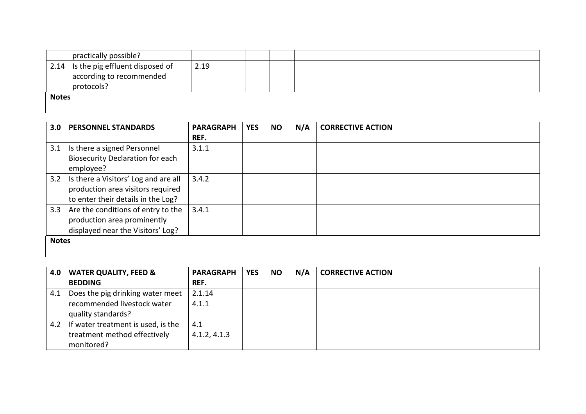|              | practically possible?                          |      |  |  |  |  |  |  |
|--------------|------------------------------------------------|------|--|--|--|--|--|--|
|              | $\vert$ 2.14   Is the pig effluent disposed of | 2.19 |  |  |  |  |  |  |
|              | according to recommended                       |      |  |  |  |  |  |  |
|              | protocols?                                     |      |  |  |  |  |  |  |
| <b>Notes</b> |                                                |      |  |  |  |  |  |  |
|              |                                                |      |  |  |  |  |  |  |

| 3.0          | <b>PERSONNEL STANDARDS</b>                                                                                      | <b>PARAGRAPH</b><br>REF. | <b>YES</b> | <b>NO</b> | N/A | <b>CORRECTIVE ACTION</b> |
|--------------|-----------------------------------------------------------------------------------------------------------------|--------------------------|------------|-----------|-----|--------------------------|
| 3.1          | Is there a signed Personnel<br><b>Biosecurity Declaration for each</b><br>employee?                             | 3.1.1                    |            |           |     |                          |
| 3.2          | Is there a Visitors' Log and are all<br>production area visitors required<br>to enter their details in the Log? | 3.4.2                    |            |           |     |                          |
| 3.3          | Are the conditions of entry to the<br>production area prominently<br>displayed near the Visitors' Log?          | 3.4.1                    |            |           |     |                          |
| <b>Notes</b> |                                                                                                                 |                          |            |           |     |                          |

| 4.0 | <b>WATER QUALITY, FEED &amp;</b>   | <b>PARAGRAPH</b> | <b>YES</b> | <b>NO</b> | N/A | <b>CORRECTIVE ACTION</b> |
|-----|------------------------------------|------------------|------------|-----------|-----|--------------------------|
|     | <b>BEDDING</b>                     | REF.             |            |           |     |                          |
| 4.1 | Does the pig drinking water meet   | 2.1.14           |            |           |     |                          |
|     | recommended livestock water        | 4.1.1            |            |           |     |                          |
|     | quality standards?                 |                  |            |           |     |                          |
| 4.2 | If water treatment is used, is the | 4.1              |            |           |     |                          |
|     | treatment method effectively       | 4.1.2, 4.1.3     |            |           |     |                          |
|     | monitored?                         |                  |            |           |     |                          |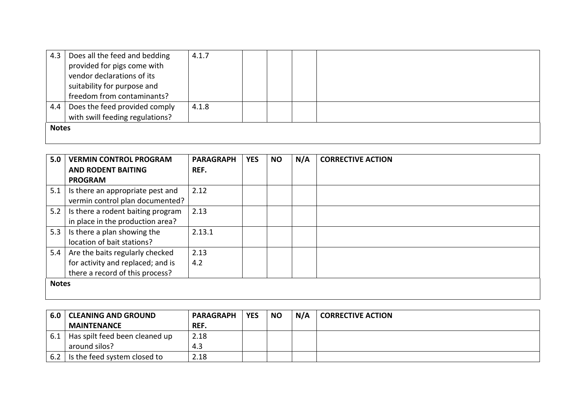| 4.3          | Does all the feed and bedding   | 4.1.7 |  |  |
|--------------|---------------------------------|-------|--|--|
|              | provided for pigs come with     |       |  |  |
|              | vendor declarations of its      |       |  |  |
|              | suitability for purpose and     |       |  |  |
|              | freedom from contaminants?      |       |  |  |
| 4.4          | Does the feed provided comply   | 4.1.8 |  |  |
|              | with swill feeding regulations? |       |  |  |
| <b>Notes</b> |                                 |       |  |  |
|              |                                 |       |  |  |

| 5.0          | <b>VERMIN CONTROL PROGRAM</b>           | <b>PARAGRAPH</b> | <b>YES</b> | <b>NO</b> | N/A | <b>CORRECTIVE ACTION</b> |
|--------------|-----------------------------------------|------------------|------------|-----------|-----|--------------------------|
|              | <b>AND RODENT BAITING</b>               | REF.             |            |           |     |                          |
|              | <b>PROGRAM</b>                          |                  |            |           |     |                          |
|              | 5.1   Is there an appropriate pest and  | 2.12             |            |           |     |                          |
|              | vermin control plan documented?         |                  |            |           |     |                          |
|              | 5.2   Is there a rodent baiting program | 2.13             |            |           |     |                          |
|              | in place in the production area?        |                  |            |           |     |                          |
| 5.3          | Is there a plan showing the             | 2.13.1           |            |           |     |                          |
|              | location of bait stations?              |                  |            |           |     |                          |
| 5.4          | Are the baits regularly checked         | 2.13             |            |           |     |                          |
|              | for activity and replaced; and is       | 4.2              |            |           |     |                          |
|              | there a record of this process?         |                  |            |           |     |                          |
| <b>Notes</b> |                                         |                  |            |           |     |                          |
|              |                                         |                  |            |           |     |                          |

| 6.0 | <b>CLEANING AND GROUND</b>     | <b>PARAGRAPH</b> | <b>YES</b> | <b>NO</b> | N/A | <b>CORRECTIVE ACTION</b> |
|-----|--------------------------------|------------------|------------|-----------|-----|--------------------------|
|     | <b>MAINTENANCE</b>             | REF.             |            |           |     |                          |
| 6.1 | Has spilt feed been cleaned up | 2.18             |            |           |     |                          |
|     | around silos?                  | 4.3              |            |           |     |                          |
| 6.2 | Is the feed system closed to   | 2.18             |            |           |     |                          |